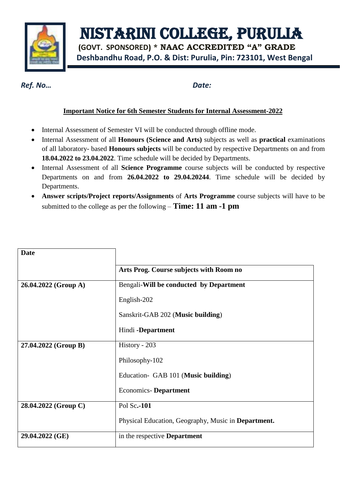

NISTARINI COLLEGE, PURULIA

 **(GOVT. SPONSORED) \* NAAC ACCREDITED "A" GRADE Deshbandhu Road, P.O. & Dist: Purulia, Pin: 723101, West Bengal**

*Ref. No… Date:*

## **Important Notice for 6th Semester Students for Internal Assessment-2022**

- Internal Assessment of Semester VI will be conducted through offline mode.
- Internal Assessment of all **Honours (Science and Arts)** subjects as well as **practical** examinations of all laboratory- based **Honours subjects** will be conducted by respective Departments on and from **18.04.2022 to 23.04.2022**. Time schedule will be decided by Departments.
- Internal Assessment of all **Science Programme** course subjects will be conducted by respective Departments on and from **26.04.2022 to 29.04.20244**. Time schedule will be decided by Departments.
- **Answer scripts/Project reports/Assignments** of **Arts Programme** course subjects will have to be submitted to the college as per the following – **Time: 11 am -1 pm**

| <b>Date</b>          |                                                     |
|----------------------|-----------------------------------------------------|
|                      | Arts Prog. Course subjects with Room no             |
| 26.04.2022 (Group A) | Bengali-Will be conducted by Department             |
|                      | English-202                                         |
|                      | Sanskrit-GAB 202 (Music building)                   |
|                      | Hindi -Department                                   |
| 27.04.2022 (Group B) | History - 203                                       |
|                      | Philosophy-102                                      |
|                      | Education- GAB 101 (Music building)                 |
|                      | <b>Economics-Department</b>                         |
| 28.04.2022 (Group C) | Pol Sc.-101                                         |
|                      | Physical Education, Geography, Music in Department. |
| 29.04.2022 (GE)      | in the respective <b>Department</b>                 |